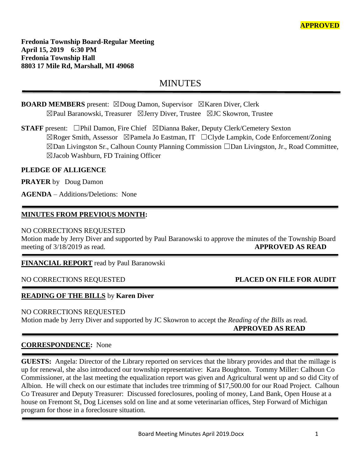**Fredonia Township Board-Regular Meeting April 15, 2019 6:30 PM Fredonia Township Hall 8803 17 Mile Rd, Marshall, MI 49068**

# MINUTES

# **BOARD MEMBERS** present: ⊠Doug Damon, Supervisor ⊠Karen Diver, Clerk ☒Paul Baranowski, Treasurer ☒Jerry Diver, Trustee ☒JC Skowron, Trustee

**STAFF** present: □Phil Damon, Fire Chief ⊠Dianna Baker, Deputy Clerk/Cemetery Sexton ☒Roger Smith, Assessor ☒Pamela Jo Eastman, IT ☐Clyde Lampkin, Code Enforcement/Zoning ☒Dan Livingston Sr., Calhoun County Planning Commission ☐Dan Livingston, Jr., Road Committee, ☒Jacob Washburn, FD Training Officer

# **PLEDGE OF ALLIGENCE**

**PRAYER** by Doug Damon

**AGENDA** – Additions/Deletions: None

# **MINUTES FROM PREVIOUS MONTH:**

# NO CORRECTIONS REQUESTED

Motion made by Jerry Diver and supported by Paul Baranowski to approve the minutes of the Township Board meeting of  $3/18/2019$  as read. **APPROVED AS READ** 

# **FINANCIAL REPORT** read by Paul Baranowski

# NO CORRECTIONS REQUESTED **PLACED ON FILE FOR AUDIT**

# **READING OF THE BILLS** by **Karen Diver**

# NO CORRECTIONS REQUESTED

Motion made by Jerry Diver and supported by JC Skowron to accept the *Reading of the Bills* as read.  **APPROVED AS READ**

# **CORRESPONDENCE:** None

**GUESTS:** Angela: Director of the Library reported on services that the library provides and that the millage is up for renewal, she also introduced our township representative: Kara Boughton. Tommy Miller: Calhoun Co Commissioner, at the last meeting the equalization report was given and Agricultural went up and so did City of Albion. He will check on our estimate that includes tree trimming of \$17,500.00 for our Road Project. Calhoun Co Treasurer and Deputy Treasurer: Discussed foreclosures, pooling of money, Land Bank, Open House at a house on Fremont St, Dog Licenses sold on line and at some veterinarian offices, Step Forward of Michigan program for those in a foreclosure situation.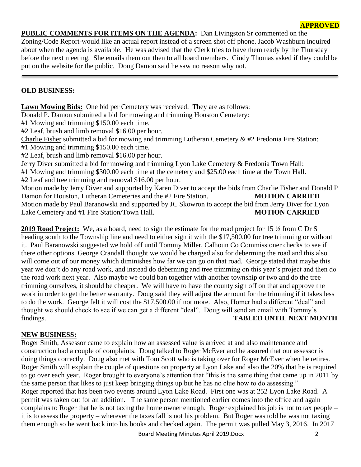# **PUBLIC COMMENTS FOR ITEMS ON THE AGENDA:** Dan Livingston Sr commented on the

Zoning/Code Report-would like an actual report instead of a screen shot off phone. Jacob Washburn inquired about when the agenda is available. He was advised that the Clerk tries to have them ready by the Thursday before the next meeting. She emails them out then to all board members. Cindy Thomas asked if they could be put on the website for the public. Doug Damon said he saw no reason why not.

# **OLD BUSINESS:**

**Lawn Mowing Bids:** One bid per Cemetery was received. They are as follows:

Donald P. Damon submitted a bid for mowing and trimming Houston Cemetery:

#1 Mowing and trimming \$150.00 each time.

#2 Leaf, brush and limb removal \$16.00 per hour.

Charlie Fisher submitted a bid for mowing and trimming Lutheran Cemetery & #2 Fredonia Fire Station: #1 Mowing and trimming \$150.00 each time.

#2 Leaf, brush and limb removal \$16.00 per hour.

Jerry Diver submitted a bid for mowing and trimming Lyon Lake Cemetery & Fredonia Town Hall: #1 Mowing and trimming \$300.00 each time at the cemetery and \$25.00 each time at the Town Hall. #2 Leaf and tree trimming and removal \$16.00 per hour.

Motion made by Jerry Diver and supported by Karen Diver to accept the bids from Charlie Fisher and Donald P Damon for Houston, Lutheran Cemeteries and the #2 Fire Station. **MOTION CARRIED** Motion made by Paul Baranowski and supported by JC Skowron to accept the bid from Jerry Diver for Lyon Lake Cemetery and #1 Fire Station/Town Hall. **MOTION CARRIED** 

**2019 Road Project:** We, as a board, need to sign the estimate for the road project for 15 ½ from C Dr S heading south to the Township line and need to either sign it with the \$17,500.00 for tree trimming or without it. Paul Baranowski suggested we hold off until Tommy Miller, Calhoun Co Commissioner checks to see if there other options. George Crandall thought we would be charged also for deberming the road and this also will come out of our money which diminishes how far we can go on that road. George stated that maybe this year we don't do any road work, and instead do deberming and tree trimming on this year's project and then do the road work next year. Also maybe we could ban together with another township or two and do the tree trimming ourselves, it should be cheaper. We will have to have the county sign off on that and approve the work in order to get the better warranty. Doug said they will adjust the amount for the trimming if it takes less to do the work. George felt it will cost the \$17,500.00 if not more. Also, Homer had a different "deal" and thought we should check to see if we can get a different "deal". Doug will send an email with Tommy's findings. **TABLED UNTIL NEXT MONTH**

# **NEW BUSINESS:**

Roger Smith, Assessor came to explain how an assessed value is arrived at and also maintenance and construction had a couple of complaints. Doug talked to Roger McEver and he assured that our assessor is doing things correctly. Doug also met with Tom Scott who is taking over for Roger McEver when he retires. Roger Smith will explain the couple of questions on property at Lyon Lake and also the 20% that he is required to go over each year. Roger brought to everyone's attention that "this is the same thing that came up in 2011 by the same person that likes to just keep bringing things up but he has no clue how to do assessing." Roger reported that has been two events around Lyon Lake Road. First one was at 252 Lyon Lake Road. A permit was taken out for an addition. The same person mentioned earlier comes into the office and again complains to Roger that he is not taxing the home owner enough. Roger explained his job is not to tax people – it is to assess the property – wherever the taxes fall is not his problem. But Roger was told he was not taxing them enough so he went back into his books and checked again. The permit was pulled May 3, 2016. In 2017

Board Meeting Minutes April 2019.Docx 2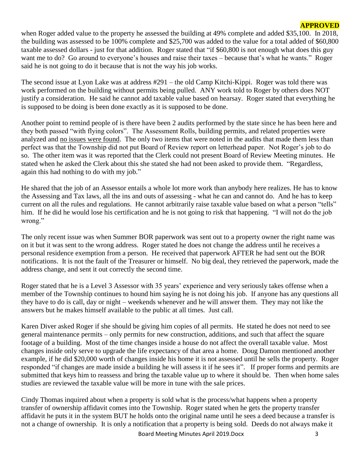when Roger added value to the property he assessed the building at 49% complete and added \$35,100. In 2018, the building was assessed to be 100% complete and \$25,700 was added to the value for a total added of \$60,800 taxable assessed dollars - just for that addition. Roger stated that "if \$60,800 is not enough what does this guy want me to do? Go around to everyone's houses and raise their taxes – because that's what he wants." Roger said he is not going to do it because that is not the way his job works.

The second issue at Lyon Lake was at address #291 – the old Camp Kitchi-Kippi. Roger was told there was work performed on the building without permits being pulled. ANY work told to Roger by others does NOT justify a consideration. He said he cannot add taxable value based on hearsay. Roger stated that everything he is supposed to be doing is been done exactly as it is supposed to be done.

Another point to remind people of is there have been 2 audits performed by the state since he has been here and they both passed "with flying colors". The Assessment Rolls, building permits, and related properties were analyzed and no issues were found. The only two items that were noted in the audits that made them less than perfect was that the Township did not put Board of Review report on letterhead paper. Not Roger's job to do so. The other item was it was reported that the Clerk could not present Board of Review Meeting minutes. He stated when he asked the Clerk about this she stated she had not been asked to provide them. "Regardless, again this had nothing to do with my job."

He shared that the job of an Assessor entails a whole lot more work than anybody here realizes. He has to know the Assessing and Tax laws, all the ins and outs of assessing - what he can and cannot do. And he has to keep current on all the rules and regulations. He cannot arbitrarily raise taxable value based on what a person "tells" him. If he did he would lose his certification and he is not going to risk that happening. "I will not do the job wrong."

The only recent issue was when Summer BOR paperwork was sent out to a property owner the right name was on it but it was sent to the wrong address. Roger stated he does not change the address until he receives a personal residence exemption from a person. He received that paperwork AFTER he had sent out the BOR notifications. It is not the fault of the Treasurer or himself. No big deal, they retrieved the paperwork, made the address change, and sent it out correctly the second time.

Roger stated that he is a Level 3 Assessor with 35 years' experience and very seriously takes offense when a member of the Township continues to hound him saying he is not doing his job. If anyone has any questions all they have to do is call, day or night – weekends whenever and he will answer them. They may not like the answers but he makes himself available to the public at all times. Just call.

Karen Diver asked Roger if she should be giving him copies of all permits. He stated he does not need to see general maintenance permits – only permits for new construction, additions, and such that affect the square footage of a building. Most of the time changes inside a house do not affect the overall taxable value. Most changes inside only serve to upgrade the life expectancy of that area a home. Doug Damon mentioned another example, if he did \$20,000 worth of changes inside his home it is not assessed until he sells the property. Roger responded "if changes are made inside a building he will assess it if he sees it". If proper forms and permits are submitted that keys him to reassess and bring the taxable value up to where it should be. Then when home sales studies are reviewed the taxable value will be more in tune with the sale prices.

Cindy Thomas inquired about when a property is sold what is the process/what happens when a property transfer of ownership affidavit comes into the Township. Roger stated when he gets the property transfer affidavit he puts it in the system BUT he holds onto the original name until he sees a deed because a transfer is not a change of ownership. It is only a notification that a property is being sold. Deeds do not always make it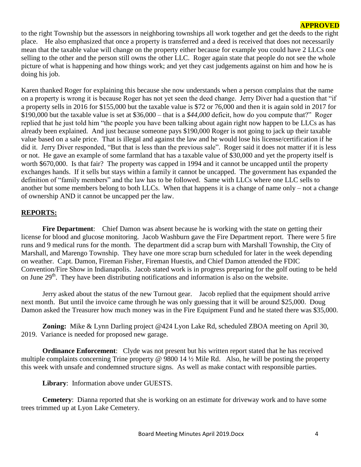to the right Township but the assessors in neighboring townships all work together and get the deeds to the right place. He also emphasized that once a property is transferred and a deed is received that does not necessarily mean that the taxable value will change on the property either because for example you could have 2 LLCs one selling to the other and the person still owns the other LLC. Roger again state that people do not see the whole picture of what is happening and how things work; and yet they cast judgements against on him and how he is doing his job.

Karen thanked Roger for explaining this because she now understands when a person complains that the name on a property is wrong it is because Roger has not yet seen the deed change. Jerry Diver had a question that "if a property sells in 2016 for \$155,000 but the taxable value is \$72 or 76,000 and then it is again sold in 2017 for \$190,000 but the taxable value is set at \$36,000 – that is a *\$44,000* deficit, how do you compute that?" Roger replied that he just told him "the people you have been talking about again right now happen to be LLCs as has already been explained. And just because someone pays \$190,000 Roger is not going to jack up their taxable value based on a sale price. That is illegal and against the law and he would lose his license/certification if he did it. Jerry Diver responded, "But that is less than the previous sale". Roger said it does not matter if it is less or not. He gave an example of some farmland that has a taxable value of \$30,000 and yet the property itself is worth \$670,000. Is that fair? The property was capped in 1994 and it cannot be uncapped until the property exchanges hands. If it sells but stays within a family it cannot be uncapped. The government has expanded the definition of "family members" and the law has to be followed. Same with LLCs where one LLC sells to another but some members belong to both LLCs. When that happens it is a change of name only – not a change of ownership AND it cannot be uncapped per the law.

#### **REPORTS:**

Fire Department: Chief Damon was absent because he is working with the state on getting their license for blood and glucose monitoring. Jacob Washburn gave the Fire Department report. There were 5 fire runs and 9 medical runs for the month. The department did a scrap burn with Marshall Township, the City of Marshall, and Marengo Township. They have one more scrap burn scheduled for later in the week depending on weather. Capt. Damon, Fireman Fisher, Fireman Huestis, and Chief Damon attended the FDIC Convention/Fire Show in Indianapolis. Jacob stated work is in progress preparing for the golf outing to be held on June  $29<sup>th</sup>$ . They have been distributing notifications and information is also on the website.

Jerry asked about the status of the new Turnout gear. Jacob replied that the equipment should arrive next month. But until the invoice came through he was only guessing that it will be around \$25,000. Doug Damon asked the Treasurer how much money was in the Fire Equipment Fund and he stated there was \$35,000.

**Zoning:** Mike & Lynn Darling project @424 Lyon Lake Rd, scheduled ZBOA meeting on April 30, 2019. Variance is needed for proposed new garage.

**Ordinance Enforcement**: Clyde was not present but his written report stated that he has received multiple complaints concerning Trine property @ 9800 14 ½ Mile Rd. Also, he will be posting the property this week with unsafe and condemned structure signs. As well as make contact with responsible parties.

**Library**: Information above under GUESTS.

**Cemetery**: Dianna reported that she is working on an estimate for driveway work and to have some trees trimmed up at Lyon Lake Cemetery.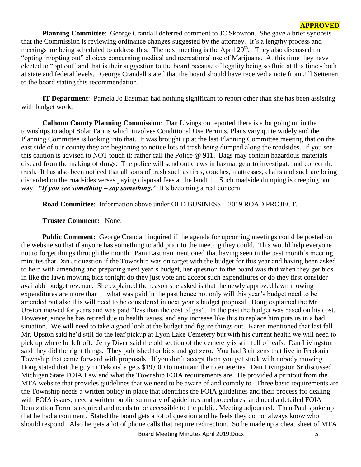**Planning Committee**: George Crandall deferred comment to JC Skowron. She gave a brief synopsis that the Commission is reviewing ordinance changes suggested by the attorney. It's a lengthy process and meetings are being scheduled to address this. The next meeting is the April  $29<sup>th</sup>$ . They also discussed the "opting in/opting out" choices concerning medical and recreational use of Marijuana. At this time they have elected to "opt out" and that is their suggestion to the board because of legality being so fluid at this time - both at state and federal levels. George Crandall stated that the board should have received a note from Jill Setteneri to the board stating this recommendation.

**IT Department**: Pamela Jo Eastman had nothing significant to report other than she has been assisting with budget work.

**Calhoun County Planning Commission**: Dan Livingston reported there is a lot going on in the townships to adopt Solar Farms which involves Conditional Use Permits. Plans vary quite widely and the Planning Committee is looking into that. It was brought up at the last Planning Committee meeting that on the east side of our county they are beginning to notice lots of trash being dumped along the roadsides. If you see this caution is advised to NOT touch it; rather call the Police @ 911. Bags may contain hazardous materials discard from the making of drugs. The police will send out crews in hazmat gear to investigate and collect the trash. It has also been noticed that all sorts of trash such as tires, couches, mattresses, chairs and such are being discarded on the roadsides verses paying disposal fees at the landfill. Such roadside dumping is creeping our way. *"If you see something – say something."* It's becoming a real concern.

**Road Committee**: Information above under OLD BUSINESS – 2019 ROAD PROJECT.

#### **Trustee Comment:** None.

**Public Comment:** George Crandall inquired if the agenda for upcoming meetings could be posted on the website so that if anyone has something to add prior to the meeting they could. This would help everyone not to forget things through the month. Pam Eastman mentioned that having seen in the past month's meeting minutes that Dan Jr question if the Township was on target with the budget for this year and having been asked to help with amending and preparing next year's budget, her question to the board was that when they get bids in like the lawn mowing bids tonight do they just vote and accept such expenditures or do they first consider available budget revenue. She explained the reason she asked is that the newly approved lawn mowing expenditures are more than what was paid in the past hence not only will this year's budget need to be amended but also this will need to be considered in next year's budget proposal. Doug explained the Mr. Upston mowed for years and was paid "less than the cost of gas". In the past the budget was based on his cost. However, since he has retired due to health issues, and any increase like this to replace him puts us in a bad situation. We will need to take a good look at the budget and figure things out. Karen mentioned that last fall Mr. Upston said he'd still do the leaf pickup at Lyon Lake Cemetery but with his current health we will need to pick up where he left off. Jerry Diver said the old section of the cemetery is still full of leafs. Dan Livingston said they did the right things. They published for bids and got zero. You had 3 citizens that live in Fredonia Township that came forward with proposals. If you don't accept them you get stuck with nobody mowing. Doug stated that the guy in Tekonsha gets \$19,000 to maintain their cemeteries. Dan Livingston Sr discussed Michigan State FOIA Law and what the Township FOIA requirements are. He provided a printout from the MTA website that provides guidelines that we need to be aware of and comply to. Three basic requirements are the Township needs a written policy in place that identifies the FOIA guidelines and their process for dealing with FOIA issues; need a written public summary of guidelines and procedures; and need a detailed FOIA Itemization Form is required and needs to be accessible to the public. Meeting adjourned. Then Paul spoke up that he had a comment. Stated the board gets a lot of question and he feels they do not always know who should respond. Also he gets a lot of phone calls that require redirection. So he made up a cheat sheet of MTA